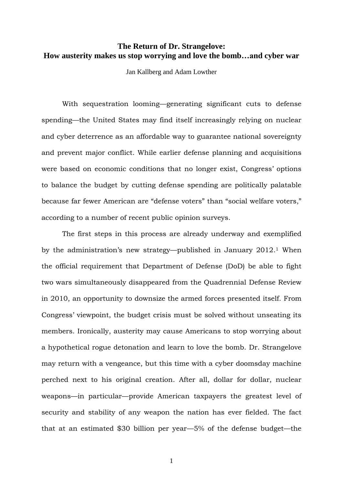# **The Return of Dr. Strangelove: How austerity makes us stop worrying and love the bomb…and cyber war**

Jan Kallberg and Adam Lowther

With sequestration looming—generating significant cuts to defense spending—the United States may find itself increasingly relying on nuclear and cyber deterrence as an affordable way to guarantee national sovereignty and prevent major conflict. While earlier defense planning and acquisitions were based on economic conditions that no longer exist, Congress' options to balance the budget by cutting defense spending are politically palatable because far fewer American are "defense voters" than "social welfare voters," according to a number of recent public opinion surveys.

The first steps in this process are already underway and exemplified by the administration's new strategy—published in January 2012. <sup>1</sup> When the official requirement that Department of Defense (DoD) be able to fight two wars simultaneously disappeared from the Quadrennial Defense Review in 2010, an opportunity to downsize the armed forces presented itself. From Congress' viewpoint, the budget crisis must be solved without unseating its members. Ironically, austerity may cause Americans to stop worrying about a hypothetical rogue detonation and learn to love the bomb. Dr. Strangelove may return with a vengeance, but this time with a cyber doomsday machine perched next to his original creation. After all, dollar for dollar, nuclear weapons—in particular—provide American taxpayers the greatest level of security and stability of any weapon the nation has ever fielded. The fact that at an estimated \$30 billion per year—5% of the defense budget—the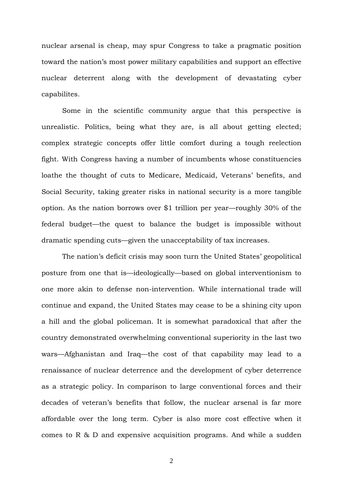nuclear arsenal is cheap, may spur Congress to take a pragmatic position toward the nation's most power military capabilities and support an effective nuclear deterrent along with the development of devastating cyber capabilites.

Some in the scientific community argue that this perspective is unrealistic. Politics, being what they are, is all about getting elected; complex strategic concepts offer little comfort during a tough reelection fight. With Congress having a number of incumbents whose constituencies loathe the thought of cuts to Medicare, Medicaid, Veterans' benefits, and Social Security, taking greater risks in national security is a more tangible option. As the nation borrows over \$1 trillion per year—roughly 30% of the federal budget—the quest to balance the budget is impossible without dramatic spending cuts—given the unacceptability of tax increases.

The nation's deficit crisis may soon turn the United States' geopolitical posture from one that is—ideologically—based on global interventionism to one more akin to defense non-intervention. While international trade will continue and expand, the United States may cease to be a shining city upon a hill and the global policeman. It is somewhat paradoxical that after the country demonstrated overwhelming conventional superiority in the last two wars—Afghanistan and Iraq—the cost of that capability may lead to a renaissance of nuclear deterrence and the development of cyber deterrence as a strategic policy. In comparison to large conventional forces and their decades of veteran's benefits that follow, the nuclear arsenal is far more affordable over the long term. Cyber is also more cost effective when it comes to R & D and expensive acquisition programs. And while a sudden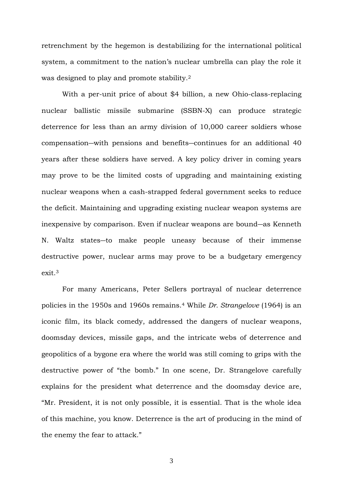retrenchment by the hegemon is destabilizing for the international political system, a commitment to the nation's nuclear umbrella can play the role it was designed to play and promote stability. 2

With a per-unit price of about \$4 billion, a new Ohio-class-replacing nuclear ballistic missile submarine (SSBN-X) can produce strategic deterrence for less than an army division of 10,000 career soldiers whose compensation―with pensions and benefits―continues for an additional 40 years after these soldiers have served. A key policy driver in coming years may prove to be the limited costs of upgrading and maintaining existing nuclear weapons when a cash-strapped federal government seeks to reduce the deficit. Maintaining and upgrading existing nuclear weapon systems are inexpensive by comparison. Even if nuclear weapons are bound―as Kenneth N. Waltz states―to make people uneasy because of their immense destructive power, nuclear arms may prove to be a budgetary emergency exit.<sup>3</sup>

For many Americans, Peter Sellers portrayal of nuclear deterrence policies in the 1950s and 1960s remains. <sup>4</sup> While *Dr. Strangelove* (1964) is an iconic film, its black comedy, addressed the dangers of nuclear weapons, doomsday devices, missile gaps, and the intricate webs of deterrence and geopolitics of a bygone era where the world was still coming to grips with the destructive power of "the bomb." In one scene, Dr. Strangelove carefully explains for the president what deterrence and the doomsday device are, "Mr. President, it is not only possible, it is essential. That is the whole idea of this machine, you know. Deterrence is the art of producing in the mind of the enemy the fear to attack."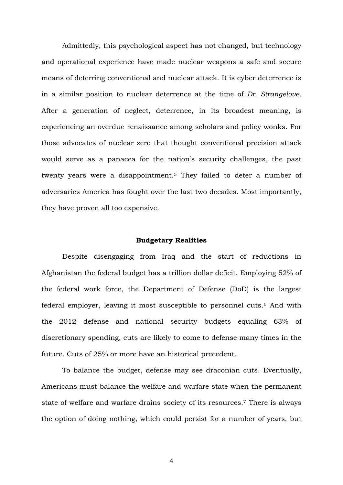Admittedly, this psychological aspect has not changed, but technology and operational experience have made nuclear weapons a safe and secure means of deterring conventional and nuclear attack. It is cyber deterrence is in a similar position to nuclear deterrence at the time of *Dr. Strangelove*. After a generation of neglect, deterrence, in its broadest meaning, is experiencing an overdue renaissance among scholars and policy wonks. For those advocates of nuclear zero that thought conventional precision attack would serve as a panacea for the nation's security challenges, the past twenty years were a disappointment.<sup>5</sup> They failed to deter a number of adversaries America has fought over the last two decades. Most importantly, they have proven all too expensive.

#### **Budgetary Realities**

Despite disengaging from Iraq and the start of reductions in Afghanistan the federal budget has a trillion dollar deficit. Employing 52% of the federal work force, the Department of Defense (DoD) is the largest federal employer, leaving it most susceptible to personnel cuts. <sup>6</sup> And with the 2012 defense and national security budgets equaling 63% of discretionary spending, cuts are likely to come to defense many times in the future. Cuts of 25% or more have an historical precedent.

To balance the budget, defense may see draconian cuts. Eventually, Americans must balance the welfare and warfare state when the permanent state of welfare and warfare drains society of its resources.<sup>7</sup> There is always the option of doing nothing, which could persist for a number of years, but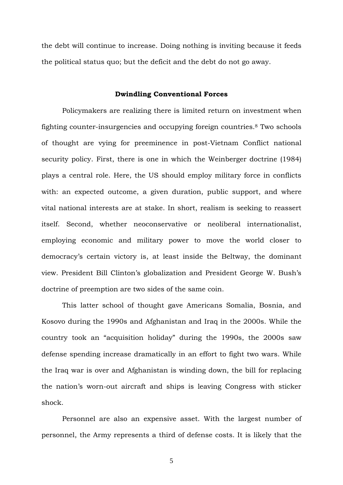the debt will continue to increase. Doing nothing is inviting because it feeds the political status quo; but the deficit and the debt do not go away.

### **Dwindling Conventional Forces**

Policymakers are realizing there is limited return on investment when fighting counter-insurgencies and occupying foreign countries.<sup>8</sup> Two schools of thought are vying for preeminence in post-Vietnam Conflict national security policy. First, there is one in which the Weinberger doctrine (1984) plays a central role. Here, the US should employ military force in conflicts with: an expected outcome, a given duration, public support, and where vital national interests are at stake. In short, realism is seeking to reassert itself. Second, whether neoconservative or neoliberal internationalist, employing economic and military power to move the world closer to democracy's certain victory is, at least inside the Beltway, the dominant view. President Bill Clinton's globalization and President George W. Bush's doctrine of preemption are two sides of the same coin.

This latter school of thought gave Americans Somalia, Bosnia, and Kosovo during the 1990s and Afghanistan and Iraq in the 2000s. While the country took an "acquisition holiday" during the 1990s, the 2000s saw defense spending increase dramatically in an effort to fight two wars. While the Iraq war is over and Afghanistan is winding down, the bill for replacing the nation's worn-out aircraft and ships is leaving Congress with sticker shock.

Personnel are also an expensive asset. With the largest number of personnel, the Army represents a third of defense costs. It is likely that the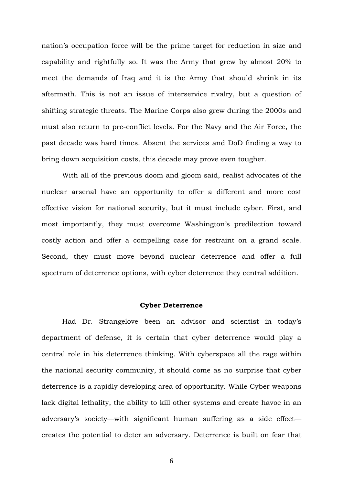nation's occupation force will be the prime target for reduction in size and capability and rightfully so. It was the Army that grew by almost 20% to meet the demands of Iraq and it is the Army that should shrink in its aftermath. This is not an issue of interservice rivalry, but a question of shifting strategic threats. The Marine Corps also grew during the 2000s and must also return to pre-conflict levels. For the Navy and the Air Force, the past decade was hard times. Absent the services and DoD finding a way to bring down acquisition costs, this decade may prove even tougher.

With all of the previous doom and gloom said, realist advocates of the nuclear arsenal have an opportunity to offer a different and more cost effective vision for national security, but it must include cyber. First, and most importantly, they must overcome Washington's predilection toward costly action and offer a compelling case for restraint on a grand scale. Second, they must move beyond nuclear deterrence and offer a full spectrum of deterrence options, with cyber deterrence they central addition.

#### **Cyber Deterrence**

Had Dr. Strangelove been an advisor and scientist in today's department of defense, it is certain that cyber deterrence would play a central role in his deterrence thinking. With cyberspace all the rage within the national security community, it should come as no surprise that cyber deterrence is a rapidly developing area of opportunity. While Cyber weapons lack digital lethality, the ability to kill other systems and create havoc in an adversary's society—with significant human suffering as a side effect creates the potential to deter an adversary. Deterrence is built on fear that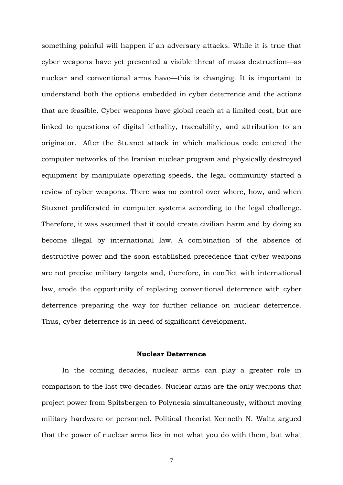something painful will happen if an adversary attacks. While it is true that cyber weapons have yet presented a visible threat of mass destruction—as nuclear and conventional arms have—this is changing. It is important to understand both the options embedded in cyber deterrence and the actions that are feasible. Cyber weapons have global reach at a limited cost, but are linked to questions of digital lethality, traceability, and attribution to an originator. After the Stuxnet attack in which malicious code entered the computer networks of the Iranian nuclear program and physically destroyed equipment by manipulate operating speeds, the legal community started a review of cyber weapons. There was no control over where, how, and when Stuxnet proliferated in computer systems according to the legal challenge. Therefore, it was assumed that it could create civilian harm and by doing so become illegal by international law. A combination of the absence of destructive power and the soon-established precedence that cyber weapons are not precise military targets and, therefore, in conflict with international law, erode the opportunity of replacing conventional deterrence with cyber deterrence preparing the way for further reliance on nuclear deterrence. Thus, cyber deterrence is in need of significant development.

## **Nuclear Deterrence**

In the coming decades, nuclear arms can play a greater role in comparison to the last two decades. Nuclear arms are the only weapons that project power from Spitsbergen to Polynesia simultaneously, without moving military hardware or personnel. Political theorist Kenneth N. Waltz argued that the power of nuclear arms lies in not what you do with them, but what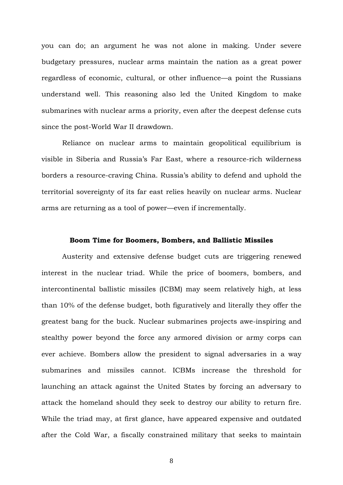you can do; an argument he was not alone in making. Under severe budgetary pressures, nuclear arms maintain the nation as a great power regardless of economic, cultural, or other influence—a point the Russians understand well. This reasoning also led the United Kingdom to make submarines with nuclear arms a priority, even after the deepest defense cuts since the post-World War II drawdown.

Reliance on nuclear arms to maintain geopolitical equilibrium is visible in Siberia and Russia's Far East, where a resource-rich wilderness borders a resource-craving China. Russia's ability to defend and uphold the territorial sovereignty of its far east relies heavily on nuclear arms. Nuclear arms are returning as a tool of power—even if incrementally.

#### **Boom Time for Boomers, Bombers, and Ballistic Missiles**

Austerity and extensive defense budget cuts are triggering renewed interest in the nuclear triad. While the price of boomers, bombers, and intercontinental ballistic missiles (ICBM) may seem relatively high, at less than 10% of the defense budget, both figuratively and literally they offer the greatest bang for the buck. Nuclear submarines projects awe-inspiring and stealthy power beyond the force any armored division or army corps can ever achieve. Bombers allow the president to signal adversaries in a way submarines and missiles cannot. ICBMs increase the threshold for launching an attack against the United States by forcing an adversary to attack the homeland should they seek to destroy our ability to return fire. While the triad may, at first glance, have appeared expensive and outdated after the Cold War, a fiscally constrained military that seeks to maintain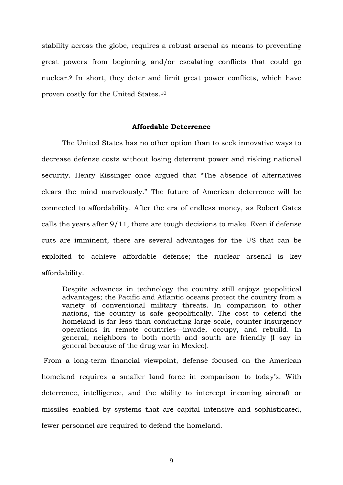stability across the globe, requires a robust arsenal as means to preventing great powers from beginning and/or escalating conflicts that could go nuclear. <sup>9</sup> In short, they deter and limit great power conflicts, which have proven costly for the United States.<sup>10</sup>

### **Affordable Deterrence**

The United States has no other option than to seek innovative ways to decrease defense costs without losing deterrent power and risking national security. Henry Kissinger once argued that "The absence of alternatives clears the mind marvelously." The future of American deterrence will be connected to affordability. After the era of endless money, as Robert Gates calls the years after 9/11, there are tough decisions to make. Even if defense cuts are imminent, there are several advantages for the US that can be exploited to achieve affordable defense; the nuclear arsenal is key affordability.

Despite advances in technology the country still enjoys geopolitical advantages; the Pacific and Atlantic oceans protect the country from a variety of conventional military threats. In comparison to other nations, the country is safe geopolitically. The cost to defend the homeland is far less than conducting large-scale, counter-insurgency operations in remote countries—invade, occupy, and rebuild. In general, neighbors to both north and south are friendly (I say in general because of the drug war in Mexico).

From a long-term financial viewpoint, defense focused on the American homeland requires a smaller land force in comparison to today's. With deterrence, intelligence, and the ability to intercept incoming aircraft or missiles enabled by systems that are capital intensive and sophisticated, fewer personnel are required to defend the homeland.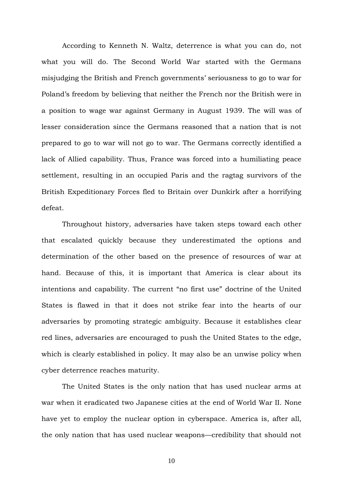According to Kenneth N. Waltz, deterrence is what you can do, not what you will do. The Second World War started with the Germans misjudging the British and French governments' seriousness to go to war for Poland's freedom by believing that neither the French nor the British were in a position to wage war against Germany in August 1939. The will was of lesser consideration since the Germans reasoned that a nation that is not prepared to go to war will not go to war. The Germans correctly identified a lack of Allied capability. Thus, France was forced into a humiliating peace settlement, resulting in an occupied Paris and the ragtag survivors of the British Expeditionary Forces fled to Britain over Dunkirk after a horrifying defeat.

Throughout history, adversaries have taken steps toward each other that escalated quickly because they underestimated the options and determination of the other based on the presence of resources of war at hand. Because of this, it is important that America is clear about its intentions and capability. The current "no first use" doctrine of the United States is flawed in that it does not strike fear into the hearts of our adversaries by promoting strategic ambiguity. Because it establishes clear red lines, adversaries are encouraged to push the United States to the edge, which is clearly established in policy. It may also be an unwise policy when cyber deterrence reaches maturity.

The United States is the only nation that has used nuclear arms at war when it eradicated two Japanese cities at the end of World War II. None have yet to employ the nuclear option in cyberspace. America is, after all, the only nation that has used nuclear weapons—credibility that should not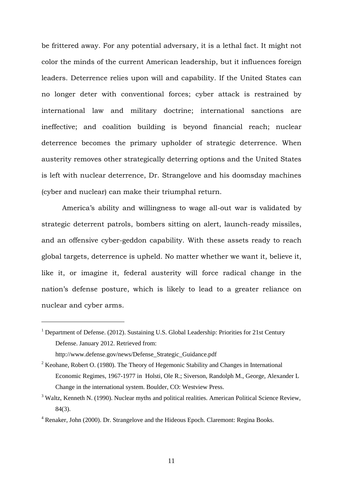be frittered away. For any potential adversary, it is a lethal fact. It might not color the minds of the current American leadership, but it influences foreign leaders. Deterrence relies upon will and capability. If the United States can no longer deter with conventional forces; cyber attack is restrained by international law and military doctrine; international sanctions are ineffective; and coalition building is beyond financial reach; nuclear deterrence becomes the primary upholder of strategic deterrence. When austerity removes other strategically deterring options and the United States is left with nuclear deterrence, Dr. Strangelove and his doomsday machines (cyber and nuclear) can make their triumphal return.

America's ability and willingness to wage all-out war is validated by strategic deterrent patrols, bombers sitting on alert, launch-ready missiles, and an offensive cyber-geddon capability. With these assets ready to reach global targets, deterrence is upheld. No matter whether we want it, believe it, like it, or imagine it, federal austerity will force radical change in the nation's defense posture, which is likely to lead to a greater reliance on nuclear and cyber arms.

<u>.</u>

<sup>&</sup>lt;sup>1</sup> Department of Defense. (2012). Sustaining U.S. Global Leadership: Priorities for 21st Century Defense. January 2012. Retrieved from: http://www.defense.gov/news/Defense\_Strategic\_Guidance.pdf

 $2$  Keohane, Robert O. (1980). The Theory of Hegemonic Stability and Changes in International Economic Regimes, 1967-1977 in Holsti, Ole R.; Siverson, Randolph M., George, Alexander L Change in the international system. Boulder, CO: Westview Press.

<sup>&</sup>lt;sup>3</sup> Waltz, Kenneth N. (1990). Nuclear myths and political realities. American Political Science Review, 84(3).

<sup>4</sup> Renaker, John (2000). Dr. Strangelove and the Hideous Epoch. Claremont: Regina Books.